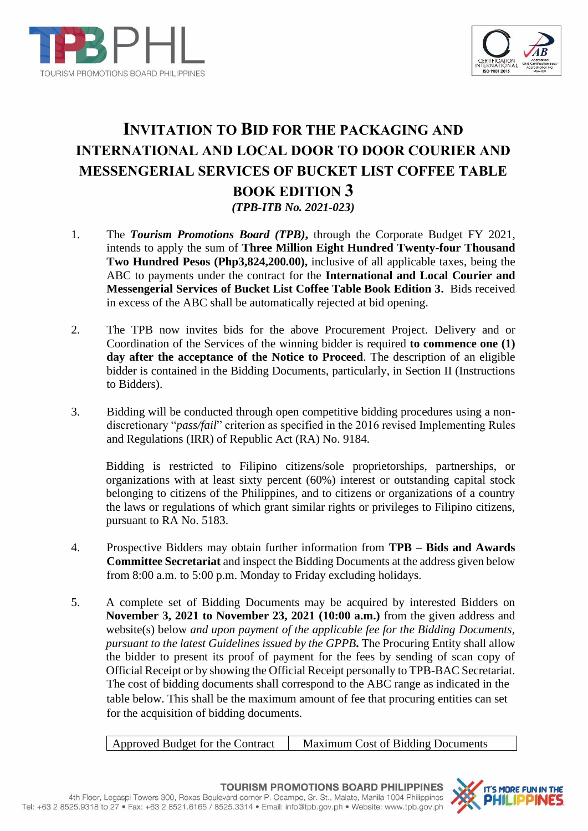



# **INVITATION TO BID FOR THE PACKAGING AND INTERNATIONAL AND LOCAL DOOR TO DOOR COURIER AND MESSENGERIAL SERVICES OF BUCKET LIST COFFEE TABLE BOOK EDITION 3** *(TPB-ITB No. 2021-023)*

- 1. The *Tourism Promotions Board (TPB)***,** through the Corporate Budget FY 2021*,*  intends to apply the sum of **Three Million Eight Hundred Twenty-four Thousand Two Hundred Pesos (Php3,824,200.00),** inclusive of all applicable taxes, being the ABC to payments under the contract for the **International and Local Courier and Messengerial Services of Bucket List Coffee Table Book Edition 3.** Bids received in excess of the ABC shall be automatically rejected at bid opening.
- 2. The TPB now invites bids for the above Procurement Project. Delivery and or Coordination of the Services of the winning bidder is required **to commence one (1) day after the acceptance of the Notice to Proceed**. The description of an eligible bidder is contained in the Bidding Documents, particularly, in Section II (Instructions to Bidders).
- 3. Bidding will be conducted through open competitive bidding procedures using a nondiscretionary "*pass/fail*" criterion as specified in the 2016 revised Implementing Rules and Regulations (IRR) of Republic Act (RA) No. 9184.

Bidding is restricted to Filipino citizens/sole proprietorships, partnerships, or organizations with at least sixty percent (60%) interest or outstanding capital stock belonging to citizens of the Philippines, and to citizens or organizations of a country the laws or regulations of which grant similar rights or privileges to Filipino citizens, pursuant to RA No. 5183.

- 4. Prospective Bidders may obtain further information from **TPB – Bids and Awards Committee Secretariat** and inspect the Bidding Documents at the address given below from 8:00 a.m. to 5:00 p.m. Monday to Friday excluding holidays.
- 5. A complete set of Bidding Documents may be acquired by interested Bidders on **November 3, 2021 to November 23, 2021 (10:00 a.m.)** from the given address and website(s) below *and upon payment of the applicable fee for the Bidding Documents, pursuant to the latest Guidelines issued by the GPPB***.** The Procuring Entity shall allow the bidder to present its proof of payment for the fees by sending of scan copy of Official Receipt or by showing the Official Receipt personally to TPB-BAC Secretariat. The cost of bidding documents shall correspond to the ABC range as indicated in the table below. This shall be the maximum amount of fee that procuring entities can set for the acquisition of bidding documents.

Approved Budget for the Contract | Maximum Cost of Bidding Documents

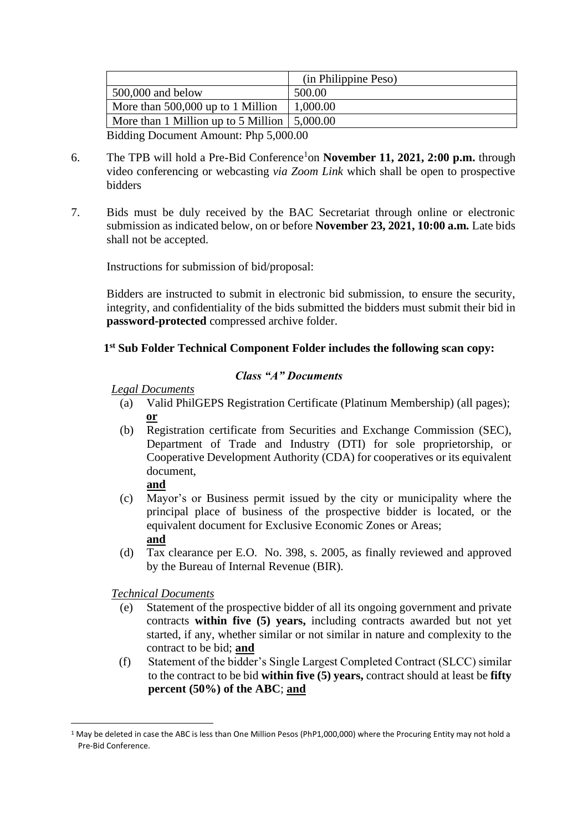|                                                            | (in Philippine Peso) |
|------------------------------------------------------------|----------------------|
| $500,000$ and below                                        | 500.00               |
| More than 500,000 up to 1 Million                          | 1,000.00             |
| More than 1 Million up to 5 Million $\vert 5,000.00 \vert$ |                      |
| Bidding Document Amount: Php 5,000.00                      |                      |

- 6. The TPB will hold a Pre-Bid Conference<sup>1</sup>on **November 11, 2021, 2:00 p.m.** through video conferencing or webcasting *via Zoom Link* which shall be open to prospective bidders
- 7. Bids must be duly received by the BAC Secretariat through online or electronic submission as indicated below, on or before **November 23, 2021, 10:00 a.m***.* Late bids shall not be accepted.

Instructions for submission of bid/proposal:

Bidders are instructed to submit in electronic bid submission, to ensure the security, integrity, and confidentiality of the bids submitted the bidders must submit their bid in **password-protected** compressed archive folder.

# **1 st Sub Folder Technical Component Folder includes the following scan copy:**

# *Class "A" Documents*

*Legal Documents*

- (a) Valid PhilGEPS Registration Certificate (Platinum Membership) (all pages); **or**
- (b) Registration certificate from Securities and Exchange Commission (SEC), Department of Trade and Industry (DTI) for sole proprietorship, or Cooperative Development Authority (CDA) for cooperatives or its equivalent document,

# **and**

- (c) Mayor's or Business permit issued by the city or municipality where the principal place of business of the prospective bidder is located, or the equivalent document for Exclusive Economic Zones or Areas; **and**
- (d) Tax clearance per E.O. No. 398, s. 2005, as finally reviewed and approved by the Bureau of Internal Revenue (BIR).

*Technical Documents*

- (e) Statement of the prospective bidder of all its ongoing government and private contracts **within five (5) years,** including contracts awarded but not yet started, if any, whether similar or not similar in nature and complexity to the contract to be bid; **and**
- (f) Statement of the bidder's Single Largest Completed Contract (SLCC) similar to the contract to be bid **within five (5) years,** contract should at least be **fifty percent (50%) of the ABC**; **and**

<sup>&</sup>lt;sup>1</sup> May be deleted in case the ABC is less than One Million Pesos (PhP1,000,000) where the Procuring Entity may not hold a Pre-Bid Conference.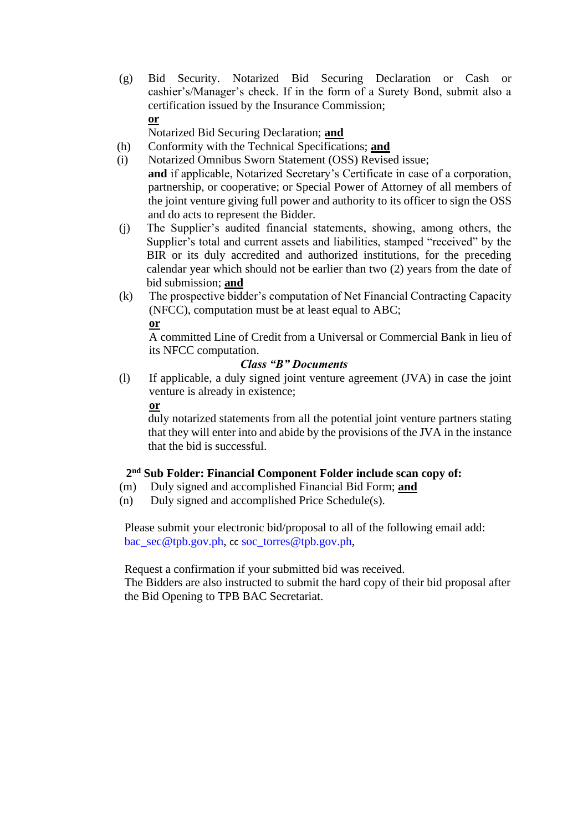(g) Bid Security. Notarized Bid Securing Declaration or Cash or cashier's/Manager's check. If in the form of a Surety Bond, submit also a certification issued by the Insurance Commission; **or**

Notarized Bid Securing Declaration; **and**

- (h) Conformity with the Technical Specifications; **and**
- (i) Notarized Omnibus Sworn Statement (OSS) Revised issue; **and** if applicable, Notarized Secretary's Certificate in case of a corporation, partnership, or cooperative; or Special Power of Attorney of all members of the joint venture giving full power and authority to its officer to sign the OSS and do acts to represent the Bidder.
- (j) The Supplier's audited financial statements, showing, among others, the Supplier's total and current assets and liabilities, stamped "received" by the BIR or its duly accredited and authorized institutions, for the preceding calendar year which should not be earlier than two (2) years from the date of bid submission; **and**
- (k) The prospective bidder's computation of Net Financial Contracting Capacity (NFCC), computation must be at least equal to ABC;

# **or**

A committed Line of Credit from a Universal or Commercial Bank in lieu of its NFCC computation.

# *Class "B" Documents*

(l) If applicable, a duly signed joint venture agreement (JVA) in case the joint venture is already in existence;

**or** 

duly notarized statements from all the potential joint venture partners stating that they will enter into and abide by the provisions of the JVA in the instance that the bid is successful.

# **2 nd Sub Folder: Financial Component Folder include scan copy of:**

- (m) Duly signed and accomplished Financial Bid Form; **and**
- (n) Duly signed and accomplished Price Schedule(s).

Please submit your electronic bid/proposal to all of the following email add: [bac\\_sec@tpb.gov.ph,](mailto:bac_sec@tpb.gov.ph) cc [soc\\_torres@tpb.gov.ph,](mailto:soc_torres@tpb.gov.ph)

Request a confirmation if your submitted bid was received.

The Bidders are also instructed to submit the hard copy of their bid proposal after the Bid Opening to TPB BAC Secretariat.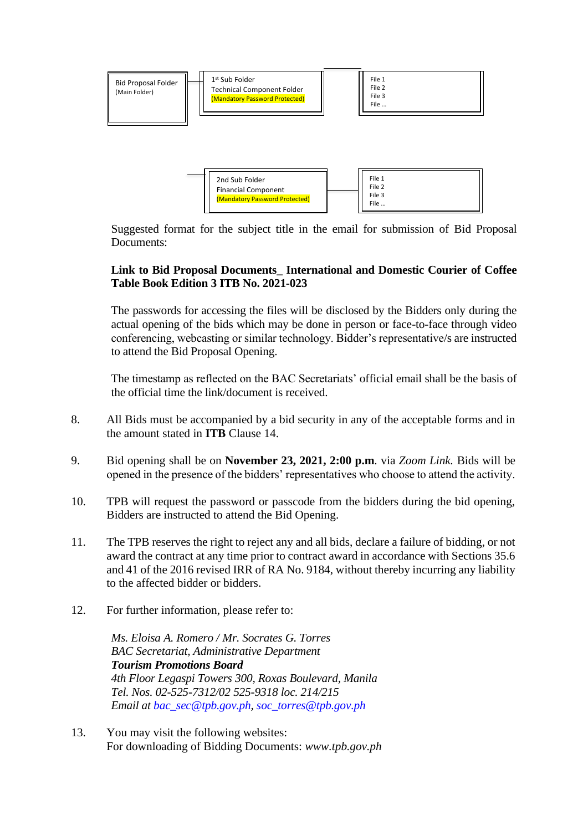

Financial Component (Mandatory Password Protected)

Suggested format for the subject title in the email for submission of Bid Proposal Documents:

File 2 File 3 File …

# **Link to Bid Proposal Documents\_ International and Domestic Courier of Coffee Table Book Edition 3 ITB No. 2021-023**

The passwords for accessing the files will be disclosed by the Bidders only during the actual opening of the bids which may be done in person or face-to-face through video conferencing, webcasting or similar technology. Bidder's representative/s are instructed to attend the Bid Proposal Opening.

The timestamp as reflected on the BAC Secretariats' official email shall be the basis of the official time the link/document is received.

- 8. All Bids must be accompanied by a bid security in any of the acceptable forms and in the amount stated in **ITB** Clause 14.
- 9. Bid opening shall be on **November 23, 2021, 2:00 p.m***.* via *Zoom Link.* Bids will be opened in the presence of the bidders' representatives who choose to attend the activity.
- 10. TPB will request the password or passcode from the bidders during the bid opening, Bidders are instructed to attend the Bid Opening.
- 11. The TPB reserves the right to reject any and all bids, declare a failure of bidding, or not award the contract at any time prior to contract award in accordance with Sections 35.6 and 41 of the 2016 revised IRR of RA No. 9184, without thereby incurring any liability to the affected bidder or bidders.
- 12. For further information, please refer to:

*Ms. Eloisa A. Romero / Mr. Socrates G. Torres BAC Secretariat, Administrative Department Tourism Promotions Board 4th Floor Legaspi Towers 300, Roxas Boulevard, Manila Tel. Nos. 02-525-7312/02 525-9318 loc. 214/215 Email at [bac\\_sec@tpb.gov.ph,](mailto:bac_sec@tpb.gov.ph) [soc\\_torres@tpb.gov.ph](mailto:soc_torres@tpb.gov.ph)*

13. You may visit the following websites: For downloading of Bidding Documents: *www.tpb.gov.ph*